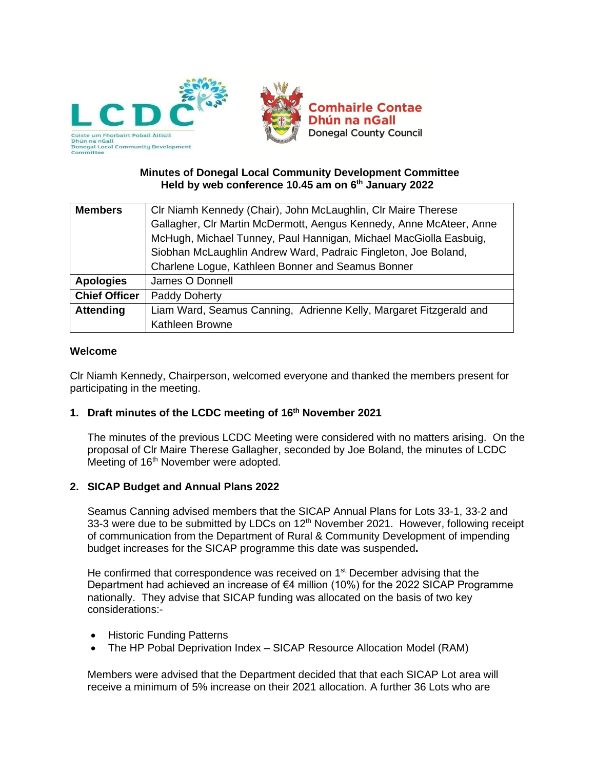

### **Minutes of Donegal Local Community Development Committee Held by web conference 10.45 am on 6 th January 2022**

| <b>Members</b>       | CIr Niamh Kennedy (Chair), John McLaughlin, CIr Maire Therese       |  |  |  |  |
|----------------------|---------------------------------------------------------------------|--|--|--|--|
|                      | Gallagher, Clr Martin McDermott, Aengus Kennedy, Anne McAteer, Anne |  |  |  |  |
|                      | McHugh, Michael Tunney, Paul Hannigan, Michael MacGiolla Easbuig,   |  |  |  |  |
|                      | Siobhan McLaughlin Andrew Ward, Padraic Fingleton, Joe Boland,      |  |  |  |  |
|                      | Charlene Logue, Kathleen Bonner and Seamus Bonner                   |  |  |  |  |
| <b>Apologies</b>     | James O Donnell                                                     |  |  |  |  |
| <b>Chief Officer</b> | Paddy Doherty                                                       |  |  |  |  |
| <b>Attending</b>     | Liam Ward, Seamus Canning, Adrienne Kelly, Margaret Fitzgerald and  |  |  |  |  |
|                      | Kathleen Browne                                                     |  |  |  |  |

### **Welcome**

Clr Niamh Kennedy, Chairperson, welcomed everyone and thanked the members present for participating in the meeting.

## **1. Draft minutes of the LCDC meeting of 16 th November 2021**

The minutes of the previous LCDC Meeting were considered with no matters arising. On the proposal of Clr Maire Therese Gallagher, seconded by Joe Boland, the minutes of LCDC Meeting of 16<sup>th</sup> November were adopted.

### **2. SICAP Budget and Annual Plans 2022**

Seamus Canning advised members that the SICAP Annual Plans for Lots 33-1, 33-2 and 33-3 were due to be submitted by LDCs on 12<sup>th</sup> November 2021. However, following receipt of communication from the Department of Rural & Community Development of impending budget increases for the SICAP programme this date was suspended**.**

He confirmed that correspondence was received on 1<sup>st</sup> December advising that the Department had achieved an increase of  $\epsilon$ 4 million (10%) for the 2022 SICAP Programme nationally. They advise that SICAP funding was allocated on the basis of two key considerations:-

- Historic Funding Patterns
- The HP Pobal Deprivation Index SICAP Resource Allocation Model (RAM)

Members were advised that the Department decided that that each SICAP Lot area will receive a minimum of 5% increase on their 2021 allocation. A further 36 Lots who are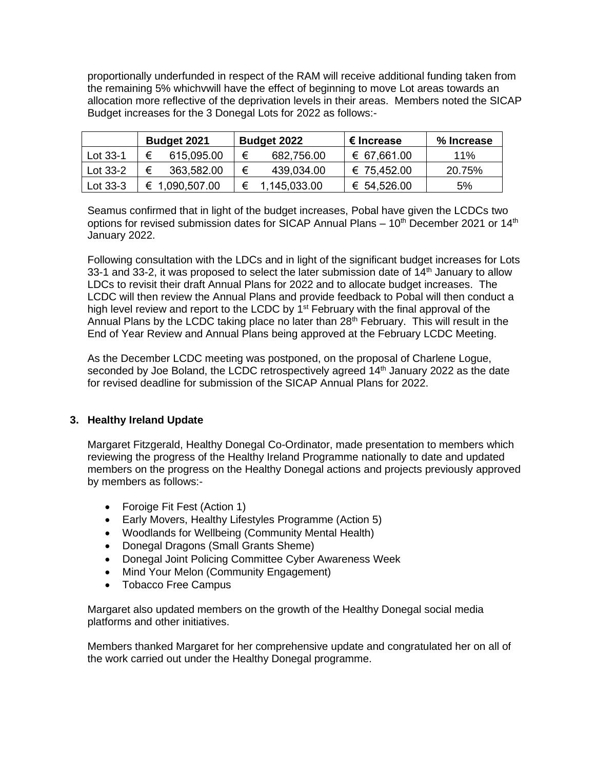proportionally underfunded in respect of the RAM will receive additional funding taken from the remaining 5% whichvwill have the effect of beginning to move Lot areas towards an allocation more reflective of the deprivation levels in their areas. Members noted the SICAP Budget increases for the 3 Donegal Lots for 2022 as follows:-

|          | <b>Budget 2021</b> |                | <b>Budget 2022</b> |                | € Increase  | % Increase |  |
|----------|--------------------|----------------|--------------------|----------------|-------------|------------|--|
| Lot 33-1 |                    | 615,095.00     | €                  | 682,756.00     | € 67,661.00 | 11%        |  |
| Lot 33-2 | €                  | 363,582.00     | €                  | 439,034.00     | € 75,452.00 | 20.75%     |  |
| Lot 33-3 |                    | € 1,090,507.00 |                    | € 1,145,033.00 | € 54,526.00 | 5%         |  |

Seamus confirmed that in light of the budget increases, Pobal have given the LCDCs two options for revised submission dates for SICAP Annual Plans  $-10<sup>th</sup>$  December 2021 or 14<sup>th</sup> January 2022.

Following consultation with the LDCs and in light of the significant budget increases for Lots 33-1 and 33-2, it was proposed to select the later submission date of  $14<sup>th</sup>$  January to allow LDCs to revisit their draft Annual Plans for 2022 and to allocate budget increases. The LCDC will then review the Annual Plans and provide feedback to Pobal will then conduct a high level review and report to the LCDC by  $1<sup>st</sup>$  February with the final approval of the Annual Plans by the LCDC taking place no later than 28<sup>th</sup> February. This will result in the End of Year Review and Annual Plans being approved at the February LCDC Meeting.

As the December LCDC meeting was postponed, on the proposal of Charlene Logue, seconded by Joe Boland, the LCDC retrospectively agreed 14<sup>th</sup> January 2022 as the date for revised deadline for submission of the SICAP Annual Plans for 2022.

### **3. Healthy Ireland Update**

Margaret Fitzgerald, Healthy Donegal Co-Ordinator, made presentation to members which reviewing the progress of the Healthy Ireland Programme nationally to date and updated members on the progress on the Healthy Donegal actions and projects previously approved by members as follows:-

- Foroige Fit Fest (Action 1)
- Early Movers, Healthy Lifestyles Programme (Action 5)
- Woodlands for Wellbeing (Community Mental Health)
- Donegal Dragons (Small Grants Sheme)
- Donegal Joint Policing Committee Cyber Awareness Week
- Mind Your Melon (Community Engagement)
- Tobacco Free Campus

Margaret also updated members on the growth of the Healthy Donegal social media platforms and other initiatives.

Members thanked Margaret for her comprehensive update and congratulated her on all of the work carried out under the Healthy Donegal programme.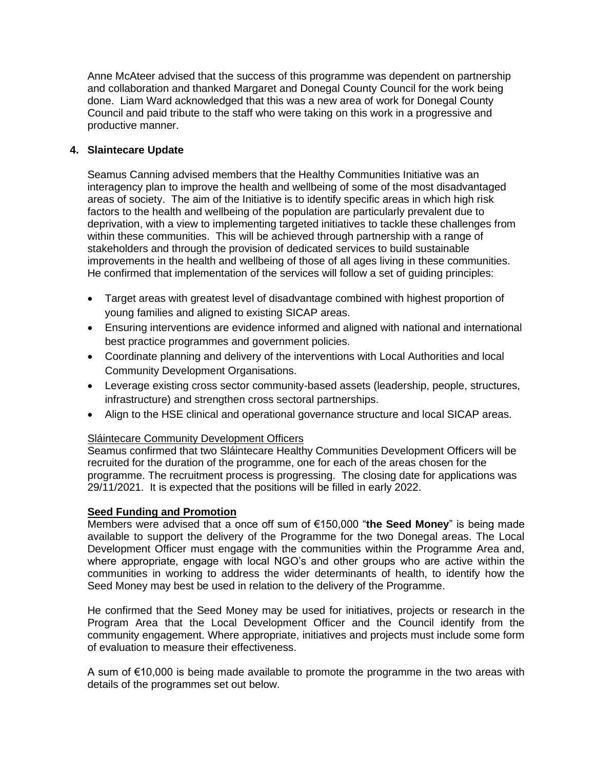Anne McAteer advised that the success of this programme was dependent on partnership and collaboration and thanked Margaret and Donegal County Council for the work being done. Liam Ward acknowledged that this was a new area of work for Donegal County Council and paid tribute to the staff who were taking on this work in a progressive and productive manner.

## **4. Slaintecare Update**

Seamus Canning advised members that the Healthy Communities Initiative was an interagency plan to improve the health and wellbeing of some of the most disadvantaged areas of society. The aim of the Initiative is to identify specific areas in which high risk factors to the health and wellbeing of the population are particularly prevalent due to deprivation, with a view to implementing targeted initiatives to tackle these challenges from within these communities. This will be achieved through partnership with a range of stakeholders and through the provision of dedicated services to build sustainable improvements in the health and wellbeing of those of all ages living in these communities. He confirmed that implementation of the services will follow a set of guiding principles:

- Target areas with greatest level of disadvantage combined with highest proportion of young families and aligned to existing SICAP areas.
- Ensuring interventions are evidence informed and aligned with national and international best practice programmes and government policies.
- Coordinate planning and delivery of the interventions with Local Authorities and local Community Development Organisations.
- Leverage existing cross sector community-based assets (leadership, people, structures, infrastructure) and strengthen cross sectoral partnerships.
- Align to the HSE clinical and operational governance structure and local SICAP areas.

### Sláintecare Community Development Officers

Seamus confirmed that two Sláintecare Healthy Communities Development Officers will be recruited for the duration of the programme, one for each of the areas chosen for the programme. The recruitment process is progressing. The closing date for applications was 29/11/2021. It is expected that the positions will be filled in early 2022.

### **Seed Funding and Promotion**

Members were advised that a once off sum of €150,000 "**the Seed Money**" is being made available to support the delivery of the Programme for the two Donegal areas. The Local Development Officer must engage with the communities within the Programme Area and, where appropriate, engage with local NGO's and other groups who are active within the communities in working to address the wider determinants of health, to identify how the Seed Money may best be used in relation to the delivery of the Programme.

He confirmed that the Seed Money may be used for initiatives, projects or research in the Program Area that the Local Development Officer and the Council identify from the community engagement. Where appropriate, initiatives and projects must include some form of evaluation to measure their effectiveness.

A sum of €10,000 is being made available to promote the programme in the two areas with details of the programmes set out below.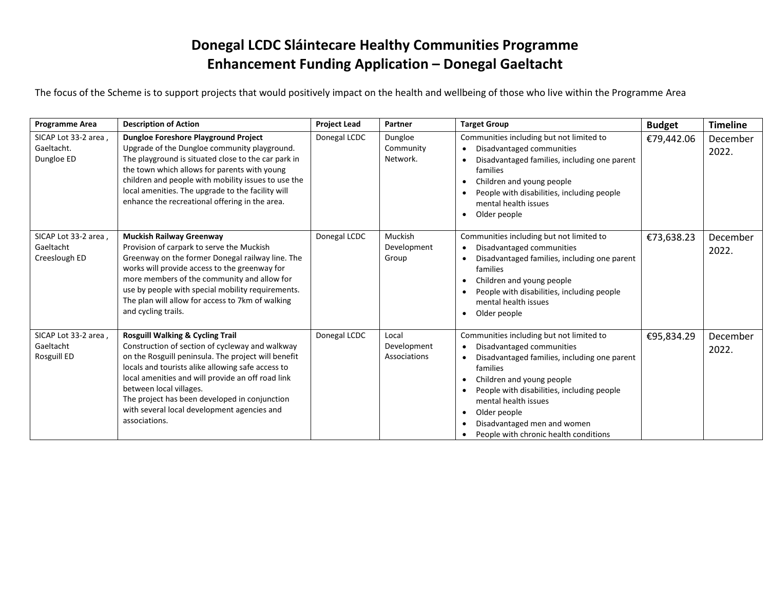## **Donegal LCDC Sláintecare Healthy Communities Programme Enhancement Funding Application – Donegal Gaeltacht**

The focus of the Scheme is to support projects that would positively impact on the health and wellbeing of those who live within the Programme Area

| <b>Programme Area</b>                              | <b>Description of Action</b>                                                                                                                                                                                                                                                                                                                                                                                | <b>Project Lead</b> | Partner                              | <b>Target Group</b>                                                                                                                                                                                                                                                                                                          | <b>Budget</b> | <b>Timeline</b>   |
|----------------------------------------------------|-------------------------------------------------------------------------------------------------------------------------------------------------------------------------------------------------------------------------------------------------------------------------------------------------------------------------------------------------------------------------------------------------------------|---------------------|--------------------------------------|------------------------------------------------------------------------------------------------------------------------------------------------------------------------------------------------------------------------------------------------------------------------------------------------------------------------------|---------------|-------------------|
| SICAP Lot 33-2 area,<br>Gaeltacht.<br>Dungloe ED   | Dungloe Foreshore Playground Project<br>Upgrade of the Dungloe community playground.<br>The playground is situated close to the car park in<br>the town which allows for parents with young<br>children and people with mobility issues to use the<br>local amenities. The upgrade to the facility will<br>enhance the recreational offering in the area.                                                   | Donegal LCDC        | Dungloe<br>Community<br>Network.     | Communities including but not limited to<br>Disadvantaged communities<br>Disadvantaged families, including one parent<br>families<br>Children and young people<br>$\bullet$<br>People with disabilities, including people<br>mental health issues<br>Older people                                                            | €79,442.06    | December<br>2022. |
| SICAP Lot 33-2 area,<br>Gaeltacht<br>Creeslough ED | <b>Muckish Railway Greenway</b><br>Provision of carpark to serve the Muckish<br>Greenway on the former Donegal railway line. The<br>works will provide access to the greenway for<br>more members of the community and allow for<br>use by people with special mobility requirements.<br>The plan will allow for access to 7km of walking<br>and cycling trails.                                            | Donegal LCDC        | Muckish<br>Development<br>Group      | Communities including but not limited to<br>Disadvantaged communities<br>$\bullet$<br>Disadvantaged families, including one parent<br>families<br>Children and young people<br>$\bullet$<br>People with disabilities, including people<br>mental health issues<br>Older people                                               | €73,638.23    | December<br>2022. |
| SICAP Lot 33-2 area,<br>Gaeltacht<br>Rosguill ED   | <b>Rosguill Walking &amp; Cycling Trail</b><br>Construction of section of cycleway and walkway<br>on the Rosguill peninsula. The project will benefit<br>locals and tourists alike allowing safe access to<br>local amenities and will provide an off road link<br>between local villages.<br>The project has been developed in conjunction<br>with several local development agencies and<br>associations. | Donegal LCDC        | Local<br>Development<br>Associations | Communities including but not limited to<br>Disadvantaged communities<br>Disadvantaged families, including one parent<br>families<br>Children and young people<br>People with disabilities, including people<br>mental health issues<br>Older people<br>Disadvantaged men and women<br>People with chronic health conditions | €95,834.29    | December<br>2022. |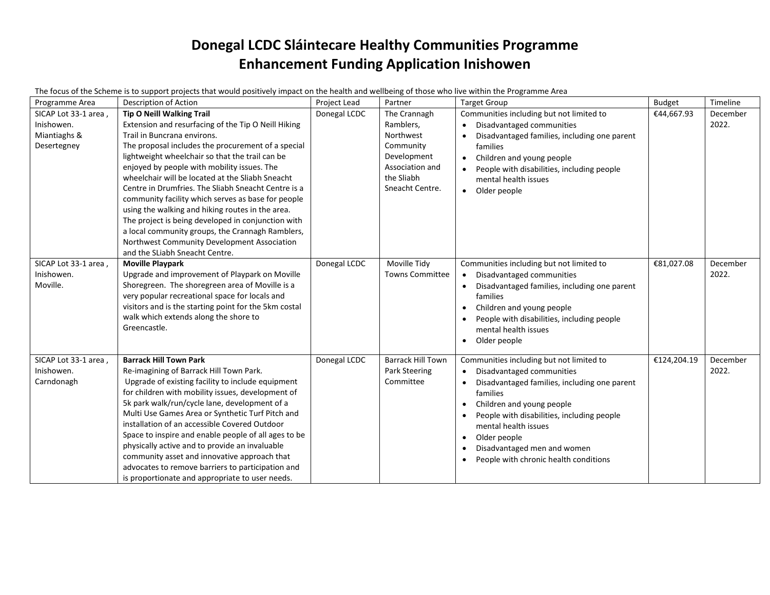# **Donegal LCDC Sláintecare Healthy Communities Programme Enhancement Funding Application Inishowen**

The focus of the Scheme is to support projects that would positively impact on the health and wellbeing of those who live within the Programme Area

| Programme Area                                                    | Description of Action                                                                                                                                                                                                                                                                                                                                                                                                                                                                                                                                                                                                                                                                          | Project Lead | Partner                                                                                                                | <b>Target Group</b>                                                                                                                                                                                                                                                                                                                                                                        | <b>Budget</b> | Timeline          |
|-------------------------------------------------------------------|------------------------------------------------------------------------------------------------------------------------------------------------------------------------------------------------------------------------------------------------------------------------------------------------------------------------------------------------------------------------------------------------------------------------------------------------------------------------------------------------------------------------------------------------------------------------------------------------------------------------------------------------------------------------------------------------|--------------|------------------------------------------------------------------------------------------------------------------------|--------------------------------------------------------------------------------------------------------------------------------------------------------------------------------------------------------------------------------------------------------------------------------------------------------------------------------------------------------------------------------------------|---------------|-------------------|
| SICAP Lot 33-1 area,<br>Inishowen.<br>Miantiaghs &<br>Desertegney | <b>Tip O Neill Walking Trail</b><br>Extension and resurfacing of the Tip O Neill Hiking<br>Trail in Buncrana environs.<br>The proposal includes the procurement of a special<br>lightweight wheelchair so that the trail can be<br>enjoyed by people with mobility issues. The<br>wheelchair will be located at the Sliabh Sneacht<br>Centre in Drumfries. The Sliabh Sneacht Centre is a<br>community facility which serves as base for people<br>using the walking and hiking routes in the area.<br>The project is being developed in conjunction with<br>a local community groups, the Crannagh Ramblers,<br>Northwest Community Development Association<br>and the SLiabh Sneacht Centre. | Donegal LCDC | The Crannagh<br>Ramblers,<br>Northwest<br>Community<br>Development<br>Association and<br>the Sliabh<br>Sneacht Centre. | Communities including but not limited to<br>Disadvantaged communities<br>Disadvantaged families, including one parent<br>$\bullet$<br>families<br>Children and young people<br>$\bullet$<br>People with disabilities, including people<br>mental health issues<br>• Older people                                                                                                           | €44,667.93    | December<br>2022. |
| SICAP Lot 33-1 area,<br>Inishowen.<br>Moville.                    | <b>Moville Playpark</b><br>Upgrade and improvement of Playpark on Moville<br>Shoregreen. The shoregreen area of Moville is a<br>very popular recreational space for locals and<br>visitors and is the starting point for the 5km costal<br>walk which extends along the shore to<br>Greencastle.                                                                                                                                                                                                                                                                                                                                                                                               | Donegal LCDC | Moville Tidy<br><b>Towns Committee</b>                                                                                 | Communities including but not limited to<br>Disadvantaged communities<br>$\bullet$<br>Disadvantaged families, including one parent<br>families<br>Children and young people<br>$\bullet$<br>People with disabilities, including people<br>mental health issues<br>Older people<br>$\bullet$                                                                                                | €81,027.08    | December<br>2022. |
| SICAP Lot 33-1 area,<br>Inishowen.<br>Carndonagh                  | <b>Barrack Hill Town Park</b><br>Re-imagining of Barrack Hill Town Park.<br>Upgrade of existing facility to include equipment<br>for children with mobility issues, development of<br>5k park walk/run/cycle lane, development of a<br>Multi Use Games Area or Synthetic Turf Pitch and<br>installation of an accessible Covered Outdoor<br>Space to inspire and enable people of all ages to be<br>physically active and to provide an invaluable<br>community asset and innovative approach that<br>advocates to remove barriers to participation and<br>is proportionate and appropriate to user needs.                                                                                     | Donegal LCDC | <b>Barrack Hill Town</b><br>Park Steering<br>Committee                                                                 | Communities including but not limited to<br>Disadvantaged communities<br>Disadvantaged families, including one parent<br>٠<br>families<br>Children and young people<br>$\bullet$<br>People with disabilities, including people<br>$\bullet$<br>mental health issues<br>Older people<br>$\bullet$<br>Disadvantaged men and women<br>$\bullet$<br>People with chronic health conditions<br>٠ | €124,204.19   | December<br>2022. |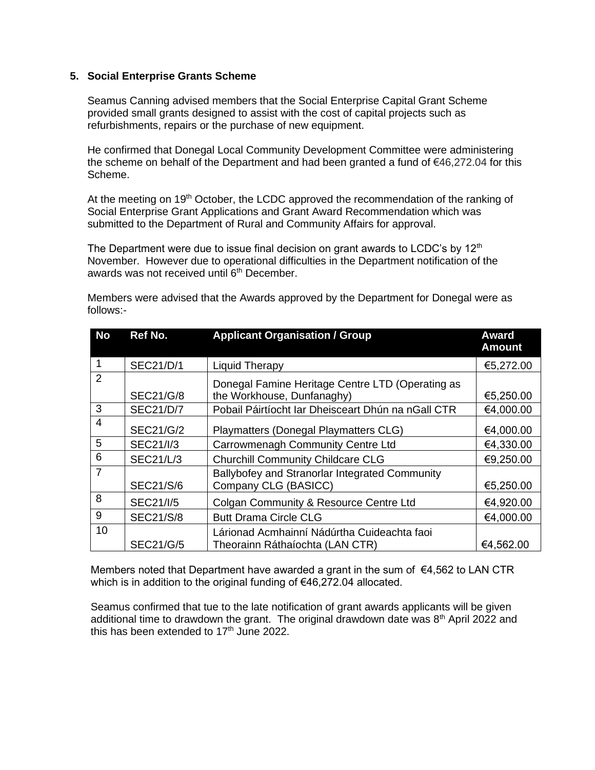### **5. Social Enterprise Grants Scheme**

Seamus Canning advised members that the Social Enterprise Capital Grant Scheme provided small grants designed to assist with the cost of capital projects such as refurbishments, repairs or the purchase of new equipment.

He confirmed that Donegal Local Community Development Committee were administering the scheme on behalf of the Department and had been granted a fund of €46,272.04 for this Scheme.

At the meeting on 19<sup>th</sup> October, the LCDC approved the recommendation of the ranking of Social Enterprise Grant Applications and Grant Award Recommendation which was submitted to the Department of Rural and Community Affairs for approval.

The Department were due to issue final decision on grant awards to LCDC's by  $12<sup>th</sup>$ November. However due to operational difficulties in the Department notification of the awards was not received until 6<sup>th</sup> December.

| follows:- |  |
|-----------|--|
|           |  |
|           |  |

Members were advised that the Awards approved by the Department for Donegal were as

| <b>No</b>      | Ref No.          | <b>Applicant Organisation / Group</b>                                          | <b>Award</b><br><b>Amount</b> |
|----------------|------------------|--------------------------------------------------------------------------------|-------------------------------|
|                | <b>SEC21/D/1</b> | <b>Liquid Therapy</b>                                                          | €5,272.00                     |
| 2              | <b>SEC21/G/8</b> | Donegal Famine Heritage Centre LTD (Operating as<br>the Workhouse, Dunfanaghy) | €5,250.00                     |
| 3              | <b>SEC21/D/7</b> | Pobail Páirtíocht Iar Dheisceart Dhún na nGall CTR                             | €4,000.00                     |
| $\overline{4}$ | <b>SEC21/G/2</b> | Playmatters (Donegal Playmatters CLG)                                          | €4,000.00                     |
| 5              | <b>SEC21/I/3</b> | Carrowmenagh Community Centre Ltd                                              | €4,330.00                     |
| 6              | <b>SEC21/L/3</b> | <b>Churchill Community Childcare CLG</b>                                       | €9,250.00                     |
| $\overline{7}$ | <b>SEC21/S/6</b> | Ballybofey and Stranorlar Integrated Community<br>Company CLG (BASICC)         | €5,250.00                     |
| 8              | <b>SEC21/I/5</b> | Colgan Community & Resource Centre Ltd                                         | €4,920.00                     |
| 9              | <b>SEC21/S/8</b> | <b>Butt Drama Circle CLG</b>                                                   | €4,000.00                     |
| 10             | <b>SEC21/G/5</b> | Lárionad Acmhainní Nádúrtha Cuideachta faoi<br>Theorainn Ráthaíochta (LAN CTR) | €4,562.00                     |

Members noted that Department have awarded a grant in the sum of  $\epsilon$ 4,562 to LAN CTR which is in addition to the original funding of €46,272.04 allocated.

Seamus confirmed that tue to the late notification of grant awards applicants will be given additional time to drawdown the grant. The original drawdown date was  $8<sup>th</sup>$  April 2022 and this has been extended to  $17<sup>th</sup>$  June 2022.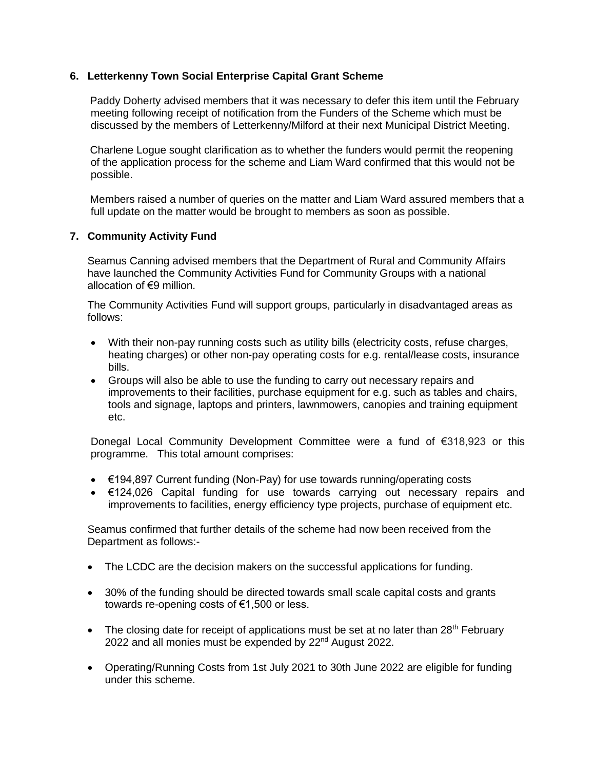### **6. Letterkenny Town Social Enterprise Capital Grant Scheme**

Paddy Doherty advised members that it was necessary to defer this item until the February meeting following receipt of notification from the Funders of the Scheme which must be discussed by the members of Letterkenny/Milford at their next Municipal District Meeting.

Charlene Logue sought clarification as to whether the funders would permit the reopening of the application process for the scheme and Liam Ward confirmed that this would not be possible.

Members raised a number of queries on the matter and Liam Ward assured members that a full update on the matter would be brought to members as soon as possible.

### **7. Community Activity Fund**

Seamus Canning advised members that the Department of Rural and Community Affairs have launched the Community Activities Fund for Community Groups with a national allocation of €9 million.

The Community Activities Fund will support groups, particularly in disadvantaged areas as follows:

- With their non-pay running costs such as utility bills (electricity costs, refuse charges, heating charges) or other non-pay operating costs for e.g. rental/lease costs, insurance bills.
- Groups will also be able to use the funding to carry out necessary repairs and improvements to their facilities, purchase equipment for e.g. such as tables and chairs, tools and signage, laptops and printers, lawnmowers, canopies and training equipment etc.

Donegal Local Community Development Committee were a fund of €318,923 or this programme. This total amount comprises:

- €194,897 Current funding (Non-Pay) for use towards running/operating costs
- €124,026 Capital funding for use towards carrying out necessary repairs and improvements to facilities, energy efficiency type projects, purchase of equipment etc.

Seamus confirmed that further details of the scheme had now been received from the Department as follows:-

- The LCDC are the decision makers on the successful applications for funding.
- 30% of the funding should be directed towards small scale capital costs and grants towards re-opening costs of €1,500 or less.
- The closing date for receipt of applications must be set at no later than  $28<sup>th</sup>$  February 2022 and all monies must be expended by 22nd August 2022.
- Operating/Running Costs from 1st July 2021 to 30th June 2022 are eligible for funding under this scheme.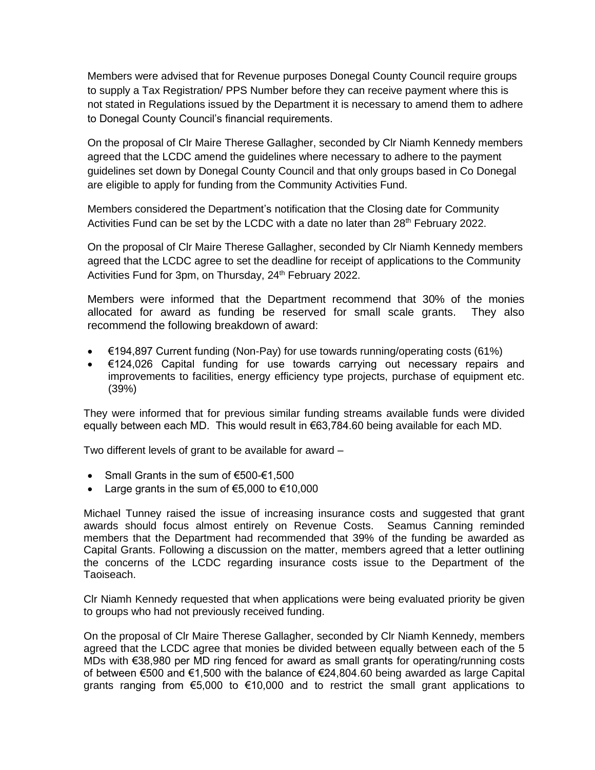Members were advised that for Revenue purposes Donegal County Council require groups to supply a Tax Registration/ PPS Number before they can receive payment where this is not stated in Regulations issued by the Department it is necessary to amend them to adhere to Donegal County Council's financial requirements.

On the proposal of Clr Maire Therese Gallagher, seconded by Clr Niamh Kennedy members agreed that the LCDC amend the guidelines where necessary to adhere to the payment guidelines set down by Donegal County Council and that only groups based in Co Donegal are eligible to apply for funding from the Community Activities Fund.

Members considered the Department's notification that the Closing date for Community Activities Fund can be set by the LCDC with a date no later than  $28<sup>th</sup>$  February 2022.

On the proposal of Clr Maire Therese Gallagher, seconded by Clr Niamh Kennedy members agreed that the LCDC agree to set the deadline for receipt of applications to the Community Activities Fund for 3pm, on Thursday, 24<sup>th</sup> February 2022.

Members were informed that the Department recommend that 30% of the monies allocated for award as funding be reserved for small scale grants. They also recommend the following breakdown of award:

- $€194,897$  Current funding (Non-Pay) for use towards running/operating costs (61%)
- €124,026 Capital funding for use towards carrying out necessary repairs and improvements to facilities, energy efficiency type projects, purchase of equipment etc. (39%)

They were informed that for previous similar funding streams available funds were divided equally between each MD. This would result in  $\epsilon$ 63,784.60 being available for each MD.

Two different levels of grant to be available for award –

- Small Grants in the sum of €500-€1,500
- Large grants in the sum of  $€5,000$  to  $€10,000$

Michael Tunney raised the issue of increasing insurance costs and suggested that grant awards should focus almost entirely on Revenue Costs. Seamus Canning reminded members that the Department had recommended that 39% of the funding be awarded as Capital Grants. Following a discussion on the matter, members agreed that a letter outlining the concerns of the LCDC regarding insurance costs issue to the Department of the Taoiseach.

Clr Niamh Kennedy requested that when applications were being evaluated priority be given to groups who had not previously received funding.

On the proposal of Clr Maire Therese Gallagher, seconded by Clr Niamh Kennedy, members agreed that the LCDC agree that monies be divided between equally between each of the 5 MDs with €38,980 per MD ring fenced for award as small grants for operating/running costs of between €500 and €1,500 with the balance of €24,804.60 being awarded as large Capital grants ranging from €5,000 to €10,000 and to restrict the small grant applications to